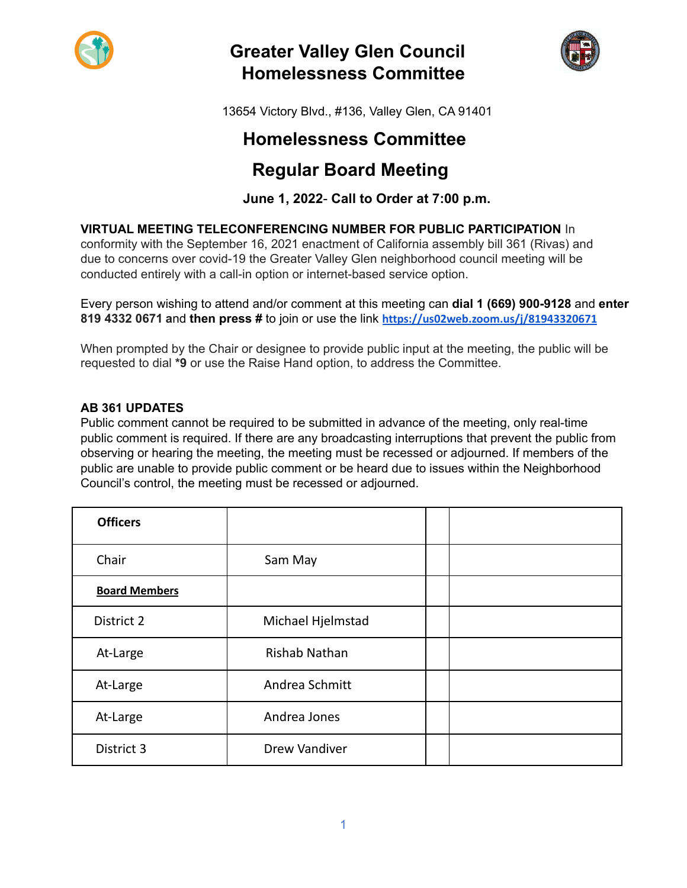

# **Greater Valley Glen Council Homelessness Committee**



13654 Victory Blvd., #136, Valley Glen, CA 91401

# **Homelessness Committee**

# **Regular Board Meeting**

# **June 1, 2022**- **Call to Order at 7:00 p.m.**

**VIRTUAL MEETING TELECONFERENCING NUMBER FOR PUBLIC PARTICIPATION** In

conformity with the September 16, 2021 enactment of California assembly bill 361 (Rivas) and due to concerns over covid-19 the Greater Valley Glen neighborhood council meeting will be conducted entirely with a call-in option or internet-based service option.

Every person wishing to attend and/or comment at this meeting can **dial 1 (669) 900-9128** and **enter 819 4332 0671 a**nd **then press #** to join or use the link **<https://us02web.zoom.us/j/81943320671>**

When prompted by the Chair or designee to provide public input at the meeting, the public will be requested to dial **\*9** or use the Raise Hand option, to address the Committee.

## **AB 361 UPDATES**

Public comment cannot be required to be submitted in advance of the meeting, only real-time public comment is required. If there are any broadcasting interruptions that prevent the public from observing or hearing the meeting, the meeting must be recessed or adjourned. If members of the public are unable to provide public comment or be heard due to issues within the Neighborhood Council's control, the meeting must be recessed or adjourned.

| <b>Officers</b>      |                      |  |
|----------------------|----------------------|--|
| Chair                | Sam May              |  |
| <b>Board Members</b> |                      |  |
| District 2           | Michael Hjelmstad    |  |
| At-Large             | Rishab Nathan        |  |
| At-Large             | Andrea Schmitt       |  |
| At-Large             | Andrea Jones         |  |
| District 3           | <b>Drew Vandiver</b> |  |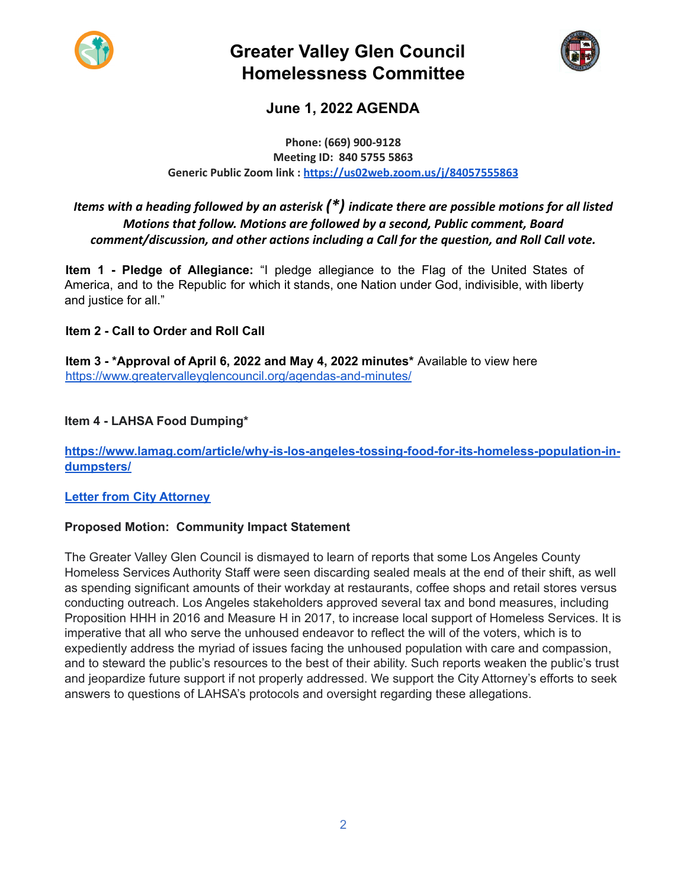

# **Greater Valley Glen Council Homelessness Committee**



# **June 1, 2022 AGENDA**

#### **Phone: (669) 900-9128 Meeting ID: 840 5755 5863 Generic Public Zoom link : <https://us02web.zoom.us/j/84057555863>**

# *Items with a heading followed by an asterisk (\*) indicate there are possible motions for all listed Motions that follow. Motions are followed by a second, Public comment, Board comment/discussion, and other actions including a Call for the question, and Roll Call vote.*

**Item 1 - Pledge of Allegiance:** "I pledge allegiance to the Flag of the United States of America, and to the Republic for which it stands, one Nation under God, indivisible, with liberty and justice for all."

# **Item 2 - Call to Order and Roll Call**

**Item 3 - \*Approval of April 6, 2022 and May 4, 2022 minutes\*** Available to view here <https://www.greatervalleyglencouncil.org/agendas-and-minutes/>

## **Item 4 - LAHSA Food Dumping\***

### **[https://www.lamag.com/article/why-is-los-angeles-tossing-food-for-its-homeless-population-in](https://www.lamag.com/article/why-is-los-angeles-tossing-food-for-its-homeless-population-in-dumpsters/)[dumpsters/](https://www.lamag.com/article/why-is-los-angeles-tossing-food-for-its-homeless-population-in-dumpsters/)**

### **Letter from City [Attorney](https://filedn.com/lOJqn8isbUNJvUBnJTlV5OS/Ltr%20LAHSA%205.24.22.pdf)**

### **Proposed Motion: Community Impact Statement**

The Greater Valley Glen Council is dismayed to learn of reports that some Los Angeles County Homeless Services Authority Staff were seen discarding sealed meals at the end of their shift, as well as spending significant amounts of their workday at restaurants, coffee shops and retail stores versus conducting outreach. Los Angeles stakeholders approved several tax and bond measures, including Proposition HHH in 2016 and Measure H in 2017, to increase local support of Homeless Services. It is imperative that all who serve the unhoused endeavor to reflect the will of the voters, which is to expediently address the myriad of issues facing the unhoused population with care and compassion, and to steward the public's resources to the best of their ability. Such reports weaken the public's trust and jeopardize future support if not properly addressed. We support the City Attorney's efforts to seek answers to questions of LAHSA's protocols and oversight regarding these allegations.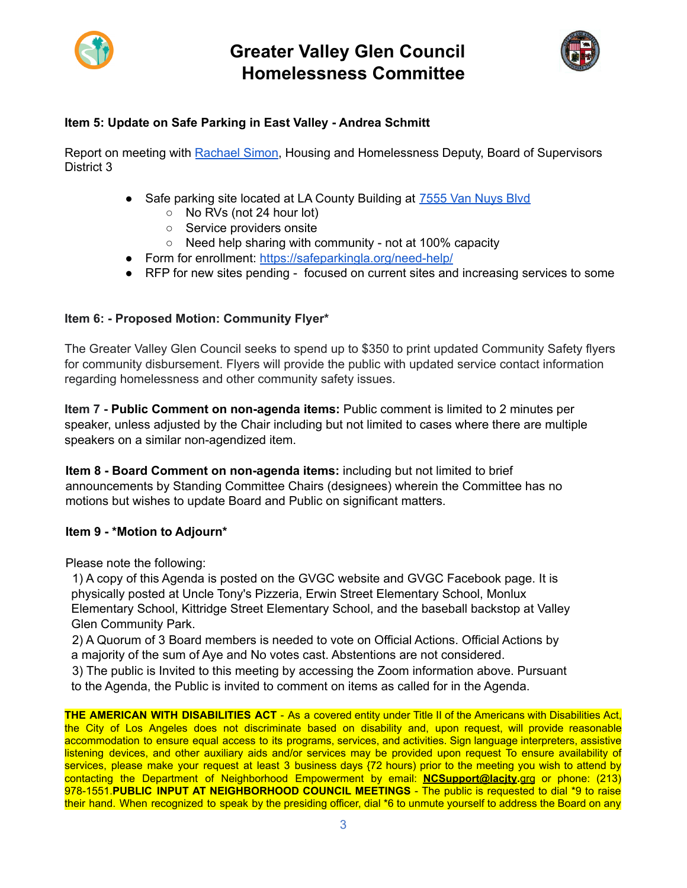



# **Item 5: Update on Safe Parking in East Valley - Andrea Schmitt**

Report on meeting with [Rachael](https://supervisorkuehl.com/project/rachael-simon/) Simon, Housing and Homelessness Deputy, Board of Supervisors District 3

- Safe parking site located at LA County Building at 7555 Van [Nuys](https://www.google.com/maps/place/7555+Van+Nuys+Blvd+%231,+Van+Nuys,+CA+91405/@34.2082504,-118.4492556,17z/data=!3m1!4b1!4m5!3m4!1s0x80c29724e2c8357b:0x402747e6096bc892!8m2!3d34.2082504!4d-118.4492556) Blvd
	- No RVs (not 24 hour lot)
	- Service providers onsite
	- Need help sharing with community not at 100% capacity
- Form for enrollment: <https://safeparkingla.org/need-help/>
- RFP for new sites pending focused on current sites and increasing services to some

### **Item 6: - Proposed Motion: Community Flyer\***

The Greater Valley Glen Council seeks to spend up to \$350 to print updated Community Safety flyers for community disbursement. Flyers will provide the public with updated service contact information regarding homelessness and other community safety issues.

**Item 7 - Public Comment on non-agenda items:** Public comment is limited to 2 minutes per speaker, unless adjusted by the Chair including but not limited to cases where there are multiple speakers on a similar non-agendized item.

**Item 8 - Board Comment on non-agenda items:** including but not limited to brief announcements by Standing Committee Chairs (designees) wherein the Committee has no motions but wishes to update Board and Public on significant matters.

### **Item 9 - \*Motion to Adjourn\***

Please note the following:

1) A copy of this Agenda is posted on the GVGC website and GVGC Facebook page. It is physically posted at Uncle Tony's Pizzeria, Erwin Street Elementary School, Monlux Elementary School, Kittridge Street Elementary School, and the baseball backstop at Valley Glen Community Park.

2) A Quorum of 3 Board members is needed to vote on Official Actions. Official Actions by a majority of the sum of Aye and No votes cast. Abstentions are not considered.

3) The public is Invited to this meeting by accessing the Zoom information above. Pursuant to the Agenda, the Public is invited to comment on items as called for in the Agenda.

**THE AMERICAN WITH DISABILITIES ACT** - As a covered entity under Title II of the Americans with Disabilities Act, the City of Los Angeles does not discriminate based on disability and, upon request, will provide reasonable accommodation to ensure equal access to its programs, services, and activities. Sign language interpreters, assistive listening devices, and other auxiliary aids and/or services may be provided upon request To ensure availability of services, please make your request at least 3 business days {72 hours) prior to the meeting you wish to attend by contacting the Department of Neighborhood Empowerment by email: **NCSupport@lacjty.**grg or phone: (213) 978-1551.**PUBLIC INPUT AT NEIGHBORHOOD COUNCIL MEETINGS** - The public is requested to dial \*9 to raise their hand. When recognized to speak by the presiding officer, dial \*6 to unmute yourself to address the Board on any